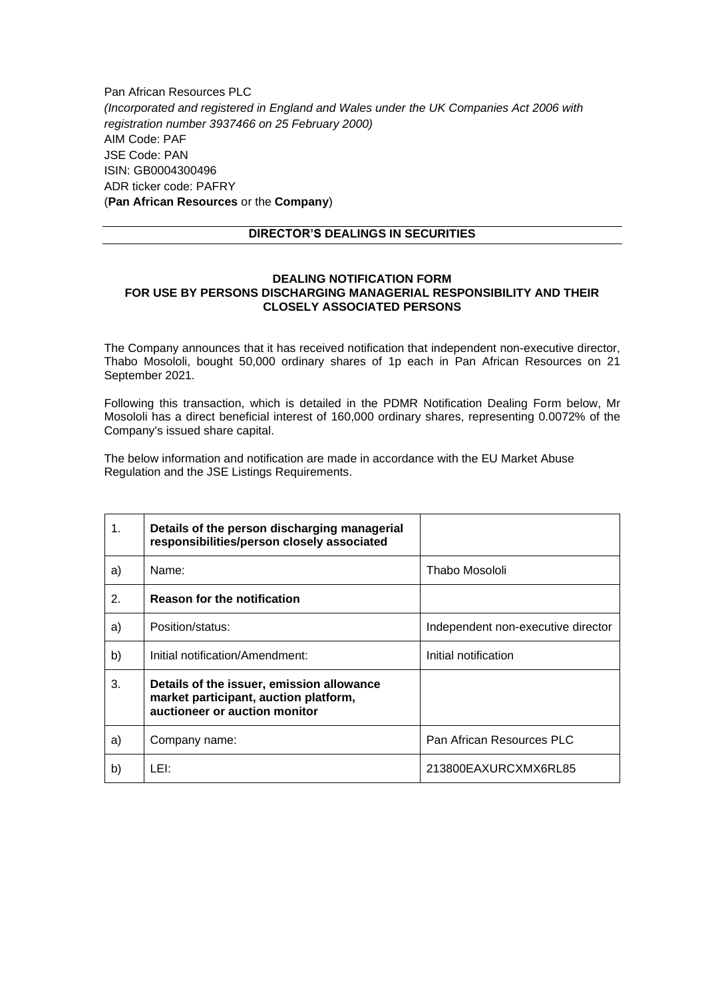Pan African Resources PLC *(Incorporated and registered in England and Wales under the UK Companies Act 2006 with registration number 3937466 on 25 February 2000)* AIM Code: PAF JSE Code: PAN ISIN: GB0004300496 ADR ticker code: PAFRY (**Pan African Resources** or the **Company**)

## **DIRECTOR'S DEALINGS IN SECURITIES**

## **DEALING NOTIFICATION FORM FOR USE BY PERSONS DISCHARGING MANAGERIAL RESPONSIBILITY AND THEIR CLOSELY ASSOCIATED PERSONS**

The Company announces that it has received notification that independent non-executive director, Thabo Mosololi, bought 50,000 ordinary shares of 1p each in Pan African Resources on 21 September 2021.

Following this transaction, which is detailed in the PDMR Notification Dealing Form below, Mr Mosololi has a direct beneficial interest of 160,000 ordinary shares, representing 0.0072% of the Company's issued share capital.

The below information and notification are made in accordance with the EU Market Abuse Regulation and the JSE Listings Requirements.

| 1. | Details of the person discharging managerial<br>responsibilities/person closely associated                          |                                    |
|----|---------------------------------------------------------------------------------------------------------------------|------------------------------------|
| a) | Name:                                                                                                               | Thabo Mosololi                     |
| 2. | <b>Reason for the notification</b>                                                                                  |                                    |
| a) | Position/status:                                                                                                    | Independent non-executive director |
| b) | Initial notification/Amendment:                                                                                     | Initial notification               |
| 3. | Details of the issuer, emission allowance<br>market participant, auction platform,<br>auctioneer or auction monitor |                                    |
| a) | Company name:                                                                                                       | Pan African Resources PLC          |
| b) | LEI:                                                                                                                | 213800EAXURCXMX6RL85               |